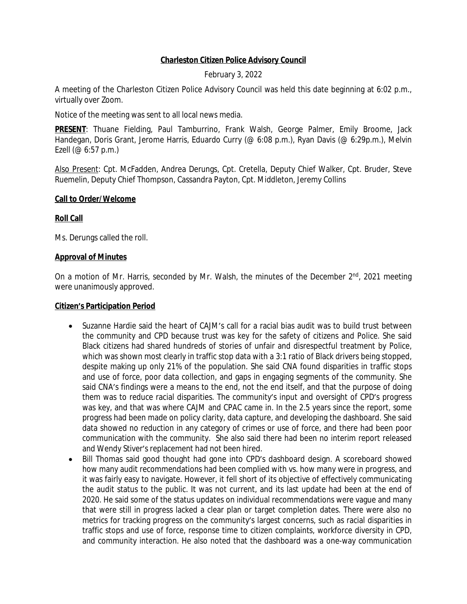## **Charleston Citizen Police Advisory Council**

February 3, 2022

A meeting of the Charleston Citizen Police Advisory Council was held this date beginning at 6:02 p.m., virtually over Zoom.

Notice of the meeting was sent to all local news media.

**PRESENT**: Thuane Fielding, Paul Tamburrino, Frank Walsh, George Palmer, Emily Broome, Jack Handegan, Doris Grant, Jerome Harris, Eduardo Curry (@ 6:08 p.m.), Ryan Davis (@ 6:29p.m.), Melvin Ezell (@ 6:57 p.m.)

Also Present: Cpt. McFadden, Andrea Derungs, Cpt. Cretella, Deputy Chief Walker, Cpt. Bruder, Steve Ruemelin, Deputy Chief Thompson, Cassandra Payton, Cpt. Middleton, Jeremy Collins

### **Call to Order/Welcome**

## **Roll Call**

Ms. Derungs called the roll.

### **Approval of Minutes**

On a motion of Mr. Harris, seconded by Mr. Walsh, the minutes of the December 2<sup>nd</sup>, 2021 meeting were unanimously approved.

### **Citizen's Participation Period**

- Suzanne Hardie said the heart of CAJM's call for a racial bias audit was to build trust between the community and CPD because trust was key for the safety of citizens and Police. She said Black citizens had shared hundreds of stories of unfair and disrespectful treatment by Police, which was shown most clearly in traffic stop data with a 3:1 ratio of Black drivers being stopped, despite making up only 21% of the population. She said CNA found disparities in traffic stops and use of force, poor data collection, and gaps in engaging segments of the community. She said CNA's findings were a means to the end, not the end itself, and that the purpose of doing them was to reduce racial disparities. The community's input and oversight of CPD's progress was key, and that was where CAJM and CPAC came in. In the 2.5 years since the report, some progress had been made on policy clarity, data capture, and developing the dashboard. She said data showed no reduction in any category of crimes or use of force, and there had been poor communication with the community. She also said there had been no interim report released and Wendy Stiver's replacement had not been hired.
- Bill Thomas said good thought had gone into CPD's dashboard design. A scoreboard showed how many audit recommendations had been complied with vs. how many were in progress, and it was fairly easy to navigate. However, it fell short of its objective of effectively communicating the audit status to the public. It was not current, and its last update had been at the end of 2020. He said some of the status updates on individual recommendations were vague and many that were still in progress lacked a clear plan or target completion dates. There were also no metrics for tracking progress on the community's largest concerns, such as racial disparities in traffic stops and use of force, response time to citizen complaints, workforce diversity in CPD, and community interaction. He also noted that the dashboard was a one-way communication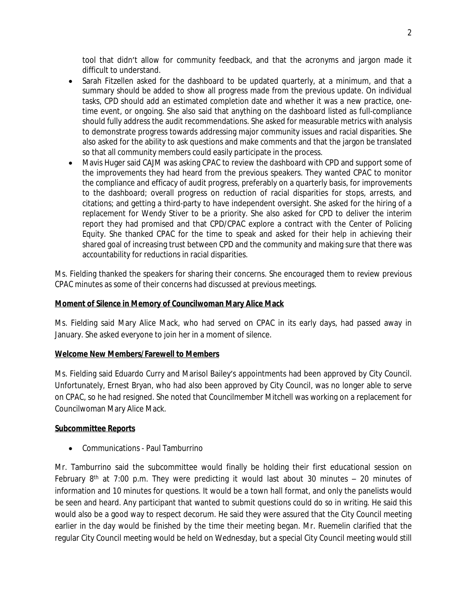tool that didn't allow for community feedback, and that the acronyms and jargon made it difficult to understand.

- Sarah Fitzellen asked for the dashboard to be updated quarterly, at a minimum, and that a summary should be added to show all progress made from the previous update. On individual tasks, CPD should add an estimated completion date and whether it was a new practice, onetime event, or ongoing. She also said that anything on the dashboard listed as full-compliance should fully address the audit recommendations. She asked for measurable metrics with analysis to demonstrate progress towards addressing major community issues and racial disparities. She also asked for the ability to ask questions and make comments and that the jargon be translated so that all community members could easily participate in the process.
- Mavis Huger said CAJM was asking CPAC to review the dashboard with CPD and support some of the improvements they had heard from the previous speakers. They wanted CPAC to monitor the compliance and efficacy of audit progress, preferably on a quarterly basis, for improvements to the dashboard; overall progress on reduction of racial disparities for stops, arrests, and citations; and getting a third-party to have independent oversight. She asked for the hiring of a replacement for Wendy Stiver to be a priority. She also asked for CPD to deliver the interim report they had promised and that CPD/CPAC explore a contract with the Center of Policing Equity. She thanked CPAC for the time to speak and asked for their help in achieving their shared goal of increasing trust between CPD and the community and making sure that there was accountability for reductions in racial disparities.

Ms. Fielding thanked the speakers for sharing their concerns. She encouraged them to review previous CPAC minutes as some of their concerns had discussed at previous meetings.

# **Moment of Silence in Memory of Councilwoman Mary Alice Mack**

Ms. Fielding said Mary Alice Mack, who had served on CPAC in its early days, had passed away in January. She asked everyone to join her in a moment of silence.

## **Welcome New Members/Farewell to Members**

Ms. Fielding said Eduardo Curry and Marisol Bailey's appointments had been approved by City Council. Unfortunately, Ernest Bryan, who had also been approved by City Council, was no longer able to serve on CPAC, so he had resigned. She noted that Councilmember Mitchell was working on a replacement for Councilwoman Mary Alice Mack.

## **Subcommittee Reports**

Communications - Paul Tamburrino

Mr. Tamburrino said the subcommittee would finally be holding their first educational session on February 8<sup>th</sup> at 7:00 p.m. They were predicting it would last about 30 minutes – 20 minutes of information and 10 minutes for questions. It would be a town hall format, and only the panelists would be seen and heard. Any participant that wanted to submit questions could do so in writing. He said this would also be a good way to respect decorum. He said they were assured that the City Council meeting earlier in the day would be finished by the time their meeting began. Mr. Ruemelin clarified that the regular City Council meeting would be held on Wednesday, but a special City Council meeting would still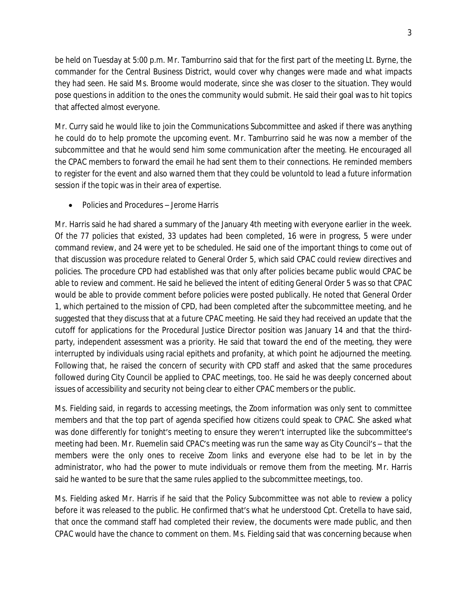be held on Tuesday at 5:00 p.m. Mr. Tamburrino said that for the first part of the meeting Lt. Byrne, the commander for the Central Business District, would cover why changes were made and what impacts they had seen. He said Ms. Broome would moderate, since she was closer to the situation. They would pose questions in addition to the ones the community would submit. He said their goal was to hit topics that affected almost everyone.

Mr. Curry said he would like to join the Communications Subcommittee and asked if there was anything he could do to help promote the upcoming event. Mr. Tamburrino said he was now a member of the subcommittee and that he would send him some communication after the meeting. He encouraged all the CPAC members to forward the email he had sent them to their connections. He reminded members to register for the event and also warned them that they could be voluntold to lead a future information session if the topic was in their area of expertise.

● Policies and Procedures – Jerome Harris

Mr. Harris said he had shared a summary of the January 4th meeting with everyone earlier in the week. Of the 77 policies that existed, 33 updates had been completed, 16 were in progress, 5 were under command review, and 24 were yet to be scheduled. He said one of the important things to come out of that discussion was procedure related to General Order 5, which said CPAC could review directives and policies. The procedure CPD had established was that only after policies became public would CPAC be able to review and comment. He said he believed the intent of editing General Order 5 was so that CPAC would be able to provide comment before policies were posted publically. He noted that General Order 1, which pertained to the mission of CPD, had been completed after the subcommittee meeting, and he suggested that they discuss that at a future CPAC meeting. He said they had received an update that the cutoff for applications for the Procedural Justice Director position was January 14 and that the thirdparty, independent assessment was a priority. He said that toward the end of the meeting, they were interrupted by individuals using racial epithets and profanity, at which point he adjourned the meeting. Following that, he raised the concern of security with CPD staff and asked that the same procedures followed during City Council be applied to CPAC meetings, too. He said he was deeply concerned about issues of accessibility and security not being clear to either CPAC members or the public.

Ms. Fielding said, in regards to accessing meetings, the Zoom information was only sent to committee members and that the top part of agenda specified how citizens could speak to CPAC. She asked what was done differently for tonight's meeting to ensure they weren't interrupted like the subcommittee's meeting had been. Mr. Ruemelin said CPAC's meeting was run the same way as City Council's – that the members were the only ones to receive Zoom links and everyone else had to be let in by the administrator, who had the power to mute individuals or remove them from the meeting. Mr. Harris said he wanted to be sure that the same rules applied to the subcommittee meetings, too.

Ms. Fielding asked Mr. Harris if he said that the Policy Subcommittee was not able to review a policy before it was released to the public. He confirmed that's what he understood Cpt. Cretella to have said, that once the command staff had completed their review, the documents were made public, and then CPAC would have the chance to comment on them. Ms. Fielding said that was concerning because when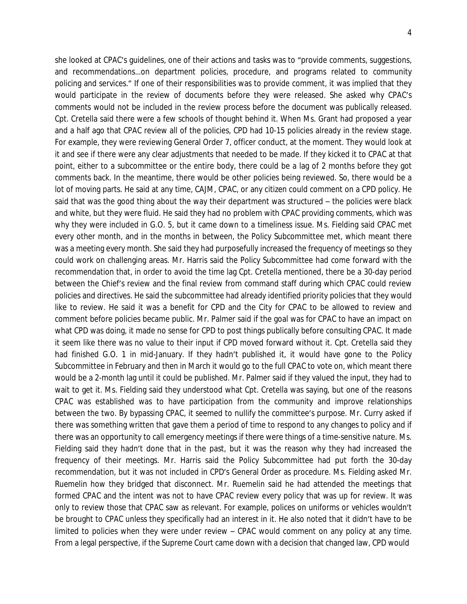she looked at CPAC's guidelines, one of their actions and tasks was to "provide comments, suggestions, and recommendations…on department policies, procedure, and programs related to community policing and services." If one of their responsibilities was to provide comment, it was implied that they would participate in the review of documents before they were released. She asked why CPAC's comments would not be included in the review process before the document was publically released. Cpt. Cretella said there were a few schools of thought behind it. When Ms. Grant had proposed a year and a half ago that CPAC review all of the policies, CPD had 10-15 policies already in the review stage. For example, they were reviewing General Order 7, officer conduct, at the moment. They would look at it and see if there were any clear adjustments that needed to be made. If they kicked it to CPAC at that point, either to a subcommittee or the entire body, there could be a lag of 2 months before they got comments back. In the meantime, there would be other policies being reviewed. So, there would be a lot of moving parts. He said at any time, CAJM, CPAC, or any citizen could comment on a CPD policy. He said that was the good thing about the way their department was structured – the policies were black and white, but they were fluid. He said they had no problem with CPAC providing comments, which was why they were included in G.O. 5, but it came down to a timeliness issue. Ms. Fielding said CPAC met every other month, and in the months in between, the Policy Subcommittee met, which meant there was a meeting every month. She said they had purposefully increased the frequency of meetings so they could work on challenging areas. Mr. Harris said the Policy Subcommittee had come forward with the recommendation that, in order to avoid the time lag Cpt. Cretella mentioned, there be a 30-day period between the Chief's review and the final review from command staff during which CPAC could review policies and directives. He said the subcommittee had already identified priority policies that they would like to review. He said it was a benefit for CPD and the City for CPAC to be allowed to review and comment before policies became public. Mr. Palmer said if the goal was for CPAC to have an impact on what CPD was doing, it made no sense for CPD to post things publically before consulting CPAC. It made it seem like there was no value to their input if CPD moved forward without it. Cpt. Cretella said they had finished G.O. 1 in mid-January. If they hadn't published it, it would have gone to the Policy Subcommittee in February and then in March it would go to the full CPAC to vote on, which meant there would be a 2-month lag until it could be published. Mr. Palmer said if they valued the input, they had to wait to get it. Ms. Fielding said they understood what Cpt. Cretella was saying, but one of the reasons CPAC was established was to have participation from the community and improve relationships between the two. By bypassing CPAC, it seemed to nullify the committee's purpose. Mr. Curry asked if there was something written that gave them a period of time to respond to any changes to policy and if there was an opportunity to call emergency meetings if there were things of a time-sensitive nature. Ms. Fielding said they hadn't done that in the past, but it was the reason why they had increased the frequency of their meetings. Mr. Harris said the Policy Subcommittee had put forth the 30-day recommendation, but it was not included in CPD's General Order as procedure. Ms. Fielding asked Mr. Ruemelin how they bridged that disconnect. Mr. Ruemelin said he had attended the meetings that formed CPAC and the intent was not to have CPAC review every policy that was up for review. It was only to review those that CPAC saw as relevant. For example, polices on uniforms or vehicles wouldn't be brought to CPAC unless they specifically had an interest in it. He also noted that it didn't have to be limited to policies when they were under review – CPAC would comment on any policy at any time. From a legal perspective, if the Supreme Court came down with a decision that changed law, CPD would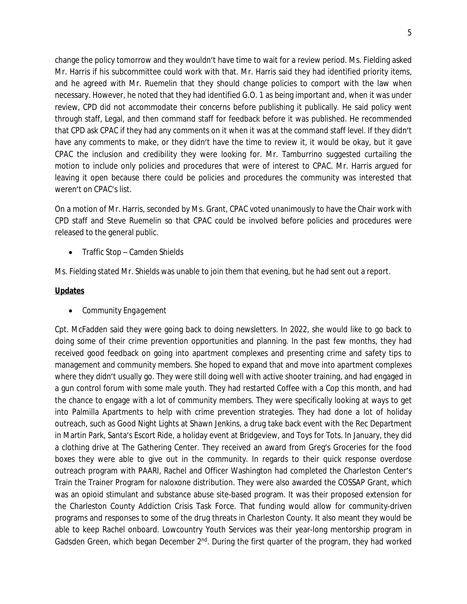change the policy tomorrow and they wouldn't have time to wait for a review period. Ms. Fielding asked Mr. Harris if his subcommittee could work with that. Mr. Harris said they had identified priority items, and he agreed with Mr. Ruemelin that they should change policies to comport with the law when necessary. However, he noted that they had identified G.O. 1 as being important and, when it was under review, CPD did not accommodate their concerns before publishing it publically. He said policy went through staff, Legal, and then command staff for feedback before it was published. He recommended that CPD ask CPAC if they had any comments on it when it was at the command staff level. If they didn't have any comments to make, or they didn't have the time to review it, it would be okay, but it gave CPAC the inclusion and credibility they were looking for. Mr. Tamburrino suggested curtailing the motion to include only policies and procedures that were of interest to CPAC. Mr. Harris argued for leaving it open because there could be policies and procedures the community was interested that weren't on CPAC's list.

On a motion of Mr. Harris, seconded by Ms. Grant, CPAC voted unanimously to have the Chair work with CPD staff and Steve Ruemelin so that CPAC could be involved before policies and procedures were released to the general public.

• Traffic Stop – Camden Shields

Ms. Fielding stated Mr. Shields was unable to join them that evening, but he had sent out a report.

## **Updates**

*Community Engagement*

Cpt. McFadden said they were going back to doing newsletters. In 2022, she would like to go back to doing some of their crime prevention opportunities and planning. In the past few months, they had received good feedback on going into apartment complexes and presenting crime and safety tips to management and community members. She hoped to expand that and move into apartment complexes where they didn't usually go. They were still doing well with active shooter training, and had engaged in a gun control forum with some male youth. They had restarted Coffee with a Cop this month, and had the chance to engage with a lot of community members. They were specifically looking at ways to get into Palmilla Apartments to help with crime prevention strategies. They had done a lot of holiday outreach, such as Good Night Lights at Shawn Jenkins, a drug take back event with the Rec Department in Martin Park, Santa's Escort Ride, a holiday event at Bridgeview, and Toys for Tots. In January, they did a clothing drive at The Gathering Center. They received an award from Greg's Groceries for the food boxes they were able to give out in the community. In regards to their quick response overdose outreach program with PAARI, Rachel and Officer Washington had completed the Charleston Center's Train the Trainer Program for naloxone distribution. They were also awarded the COSSAP Grant, which was an opioid stimulant and substance abuse site-based program. It was their proposed extension for the Charleston County Addiction Crisis Task Force. That funding would allow for community-driven programs and responses to some of the drug threats in Charleston County. It also meant they would be able to keep Rachel onboard. Lowcountry Youth Services was their year-long mentorship program in Gadsden Green, which began December 2<sup>nd</sup>. During the first quarter of the program, they had worked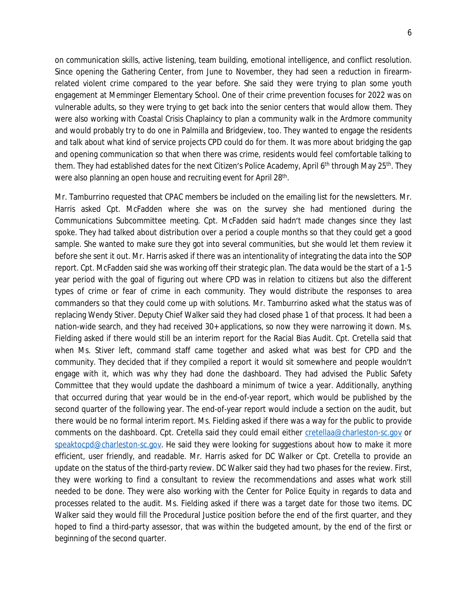on communication skills, active listening, team building, emotional intelligence, and conflict resolution. Since opening the Gathering Center, from June to November, they had seen a reduction in firearmrelated violent crime compared to the year before. She said they were trying to plan some youth engagement at Memminger Elementary School. One of their crime prevention focuses for 2022 was on vulnerable adults, so they were trying to get back into the senior centers that would allow them. They were also working with Coastal Crisis Chaplaincy to plan a community walk in the Ardmore community and would probably try to do one in Palmilla and Bridgeview, too. They wanted to engage the residents and talk about what kind of service projects CPD could do for them. It was more about bridging the gap and opening communication so that when there was crime, residents would feel comfortable talking to them. They had established dates for the next Citizen's Police Academy, April 6<sup>th</sup> through May 25<sup>th</sup>. They were also planning an open house and recruiting event for April 28<sup>th</sup>.

Mr. Tamburrino requested that CPAC members be included on the emailing list for the newsletters. Mr. Harris asked Cpt. McFadden where she was on the survey she had mentioned during the Communications Subcommittee meeting. Cpt. McFadden said hadn't made changes since they last spoke. They had talked about distribution over a period a couple months so that they could get a good sample. She wanted to make sure they got into several communities, but she would let them review it before she sent it out. Mr. Harris asked if there was an intentionality of integrating the data into the SOP report. Cpt. McFadden said she was working off their strategic plan. The data would be the start of a 1-5 year period with the goal of figuring out where CPD was in relation to citizens but also the different types of crime or fear of crime in each community. They would distribute the responses to area commanders so that they could come up with solutions. Mr. Tamburrino asked what the status was of replacing Wendy Stiver. Deputy Chief Walker said they had closed phase 1 of that process. It had been a nation-wide search, and they had received 30+ applications, so now they were narrowing it down. Ms. Fielding asked if there would still be an interim report for the Racial Bias Audit. Cpt. Cretella said that when Ms. Stiver left, command staff came together and asked what was best for CPD and the community. They decided that if they compiled a report it would sit somewhere and people wouldn't engage with it, which was why they had done the dashboard. They had advised the Public Safety Committee that they would update the dashboard a minimum of twice a year. Additionally, anything that occurred during that year would be in the end-of-year report, which would be published by the second quarter of the following year. The end-of-year report would include a section on the audit, but there would be no formal interim report. Ms. Fielding asked if there was a way for the public to provide comments on the dashboard. Cpt. Cretella said they could email either [cretellaa@charleston-sc.gov](mailto:cretellaa@charleston-sc.gov) or [speaktocpd@charleston-sc.gov](mailto:speaktocpd@charleston-sc.gov). He said they were looking for suggestions about how to make it more efficient, user friendly, and readable. Mr. Harris asked for DC Walker or Cpt. Cretella to provide an update on the status of the third-party review. DC Walker said they had two phases for the review. First, they were working to find a consultant to review the recommendations and asses what work still needed to be done. They were also working with the Center for Police Equity in regards to data and processes related to the audit. Ms. Fielding asked if there was a target date for those two items. DC Walker said they would fill the Procedural Justice position before the end of the first quarter, and they hoped to find a third-party assessor, that was within the budgeted amount, by the end of the first or beginning of the second quarter.